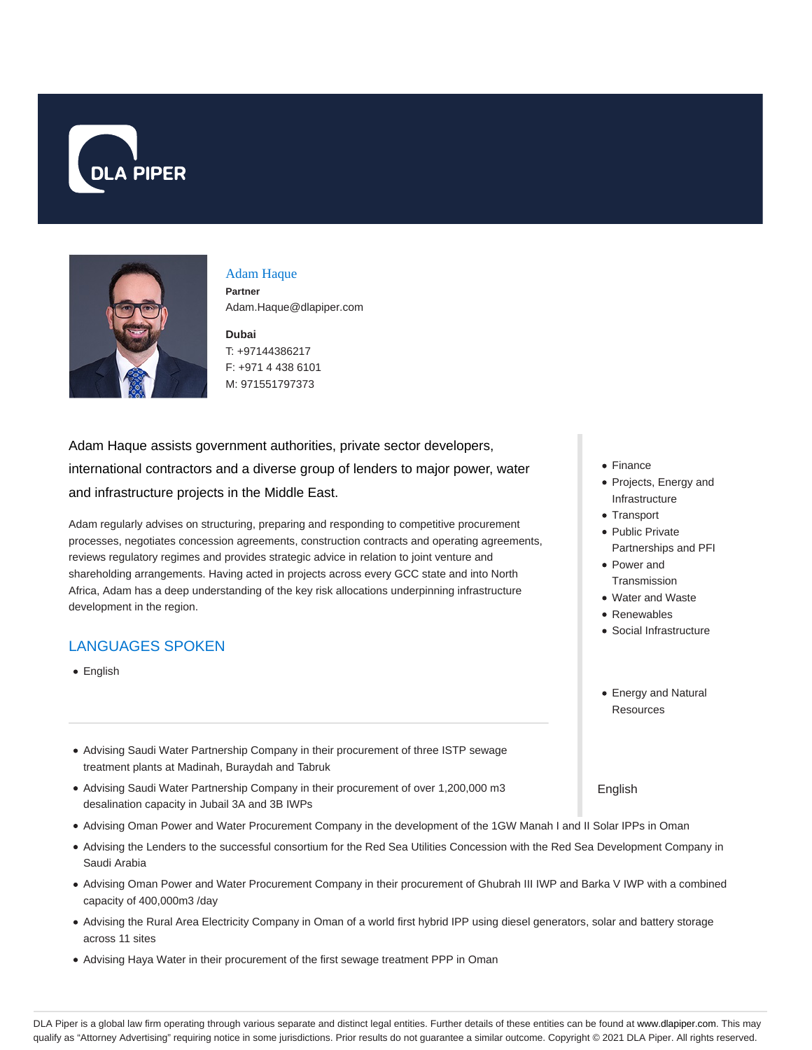



#### Adam Haque **Partner** Adam.Haque@dlapiper.com

**Dubai** T: +97144386217 F: +971 4 438 6101 M: 971551797373

Adam Haque assists government authorities, private sector developers, international contractors and a diverse group of lenders to major power, water and infrastructure projects in the Middle East.

Adam regularly advises on structuring, preparing and responding to competitive procurement processes, negotiates concession agreements, construction contracts and operating agreements, reviews regulatory regimes and provides strategic advice in relation to joint venture and shareholding arrangements. Having acted in projects across every GCC state and into North Africa, Adam has a deep understanding of the key risk allocations underpinning infrastructure development in the region.

# LANGUAGES SPOKEN

- English
- Advising Saudi Water Partnership Company in their procurement of three ISTP sewage treatment plants at Madinah, Buraydah and Tabruk
- Advising Saudi Water Partnership Company in their procurement of over 1,200,000 m3 desalination capacity in Jubail 3A and 3B IWPs
- Advising Oman Power and Water Procurement Company in the development of the 1GW Manah I and II Solar IPPs in Oman
- Advising the Lenders to the successful consortium for the Red Sea Utilities Concession with the Red Sea Development Company in Saudi Arabia
- Advising Oman Power and Water Procurement Company in their procurement of Ghubrah III IWP and Barka V IWP with a combined capacity of 400,000m3 /day
- Advising the Rural Area Electricity Company in Oman of a world first hybrid IPP using diesel generators, solar and battery storage across 11 sites
- Advising Haya Water in their procurement of the first sewage treatment PPP in Oman
- Finance
- Projects, Energy and Infrastructure
- Transport
- Public Private Partnerships and PFI
- Power and **Transmission**
- Water and Waste
- Renewables
- Social Infrastructure
- Energy and Natural **Resources**

English